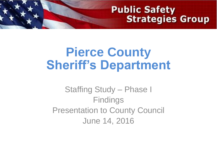#### **Public Safety Strategies Group**

#### **Pierce County Sheriff's Department**

#### Staffing Study – Phase I **Findings** Presentation to County Council June 14, 2016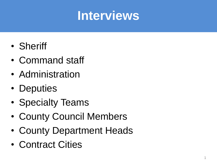### **Interviews**

- Sheriff
- Command staff
- Administration
- Deputies
- Specialty Teams
- County Council Members
- County Department Heads
- Contract Cities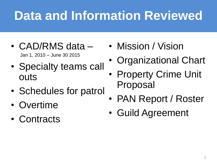## **Data and Information Reviewed**

- CAD/RMS data Jan 1, 2010 – June 30 2015
- Specialty teams call outs
- Schedules for patrol
- Overtime
- Contracts
- Mission / Vision
- Organizational Chart
- Property Crime Unit Proposal
- PAN Report / Roster
- Guild Agreement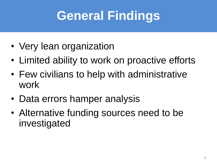## **General Findings**

- Very lean organization
- Limited ability to work on proactive efforts
- Few civilians to help with administrative work
- Data errors hamper analysis
- Alternative funding sources need to be investigated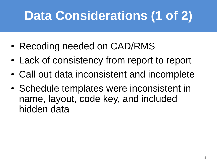# **Data Considerations (1 of 2)**

- Recoding needed on CAD/RMS
- Lack of consistency from report to report
- Call out data inconsistent and incomplete
- Schedule templates were inconsistent in name, layout, code key, and included hidden data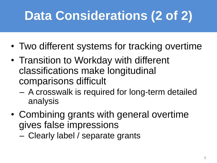# **Data Considerations (2 of 2)**

- Two different systems for tracking overtime
- Transition to Workday with different classifications make longitudinal comparisons difficult
	- A crosswalk is required for long-term detailed analysis
- Combining grants with general overtime gives false impressions
	- Clearly label / separate grants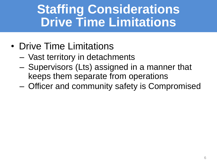### **Staffing Considerations Drive Time Limitations**

- Drive Time Limitations
	- Vast territory in detachments
	- Supervisors (Lts) assigned in a manner that keeps them separate from operations
	- Officer and community safety is Compromised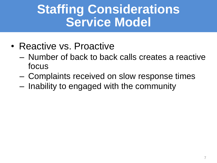### **Staffing Considerations Service Model**

- Reactive vs. Proactive
	- Number of back to back calls creates a reactive focus
	- Complaints received on slow response times
	- Inability to engaged with the community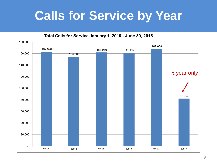### **Calls for Service by Year**

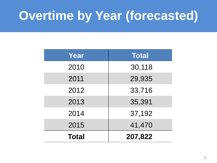## **Overtime by Year (forecasted)**

| Year         | <b>Total</b> |
|--------------|--------------|
| 2010         | 30,118       |
| 2011         | 29,935       |
| 2012         | 33,716       |
| 2013         | 35,391       |
| 2014         | 37,192       |
| 2015         | 41,470       |
| <b>Total</b> | 207,822      |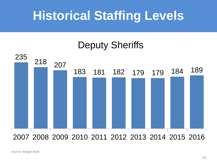## **Historical Staffing Levels**

#### Deputy Sheriffs



2007 2008 2009 2010 2011 2012 2013 2014 2015 2016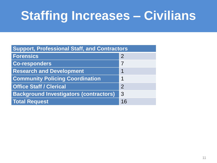## **Staffing Increases – Civilians**

| <b>Support, Professional Staff, and Contractors</b> |               |
|-----------------------------------------------------|---------------|
| <b>Forensics</b>                                    | $\mathcal{P}$ |
| <b>Co-responders</b>                                | 7             |
| <b>Research and Development</b>                     | 1             |
| <b>Community Policing Coordination</b>              | 1             |
| <b>Office Staff / Clerical</b>                      | $\mathcal{P}$ |
| <b>Background Investigators (contractors)</b>       | 3             |
| <b>Total Request</b>                                | 16            |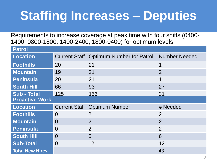## **Staffing Increases – Deputies**

Requirements to increase coverage at peak time with four shifts (0400- 1400, 0800-1800, 1400-2400, 1800-0400) for optimum levels

| <b>Patrol</b>         |          |                                                |                      |
|-----------------------|----------|------------------------------------------------|----------------------|
| <b>Location</b>       |          | <b>Current Staff Optimum Number for Patrol</b> | <b>Number Needed</b> |
| <b>Foothills</b>      | 20       | 21                                             | 1                    |
| <b>Mountain</b>       | 19       | 21                                             | 2                    |
| <b>Peninsula</b>      | 20       | 21                                             | 1                    |
| <b>South Hill</b>     | 66       | 93                                             | 27                   |
| <b>Sub - Total</b>    | 125      | 156                                            | 31                   |
| <b>Proactive Work</b> |          |                                                |                      |
|                       |          |                                                |                      |
| <b>Location</b>       |          | <b>Current Staff Optimum Number</b>            | # Needed             |
| <b>Foothills</b>      | $\Omega$ | $\overline{2}$                                 | $\overline{2}$       |
| <b>Mountain</b>       | $\Omega$ | $\overline{2}$                                 | 2                    |
| <b>Peninsula</b>      | $\Omega$ | $\overline{2}$                                 | $\overline{2}$       |
| <b>South Hill</b>     | $\Omega$ | 6                                              | 6                    |
| <b>Sub-Total</b>      | $\Omega$ | 12                                             | 12                   |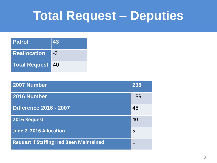### **Total Request – Deputies**

| <b>Patrol</b>       | 43  |
|---------------------|-----|
| <b>Reallocation</b> | -3  |
| Total Request       | -40 |

| 2007 Number                                    | 235 |
|------------------------------------------------|-----|
| 2016 Number                                    | 189 |
| <b>Difference 2016 - 2007</b>                  | 46  |
| 2016 Request                                   | 40  |
| June 7, 2016 Allocation                        | 5   |
| <b>Request if Staffing Had Been Maintained</b> | 1   |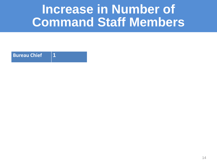#### **Increase in Number of Command Staff Members**

**Bureau Chief 1**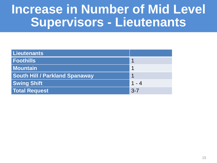#### **Increase in Number of Mid Level Supervisors - Lieutenants**

| Lieutenants                           |         |
|---------------------------------------|---------|
| <b>Foothills</b>                      |         |
| <b>Mountain</b>                       |         |
| <b>South Hill / Parkland Spanaway</b> |         |
| <b>Swing Shift</b>                    | $1 - 4$ |
| <b>Total Request</b>                  | $3 - 7$ |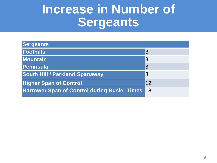#### **Increase in Number of Sergeants**

| <b>Sergeants</b>                                |    |
|-------------------------------------------------|----|
| Foothills                                       | 3  |
| <b>Mountain</b>                                 | 3  |
| Peninsula                                       | 3  |
| <b>South Hill / Parkland Spanaway</b>           | 3  |
| <b>Higher Span of Control</b>                   | 12 |
| Narrower Span of Control during Busier Times 18 |    |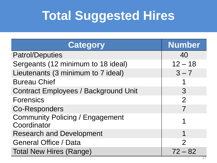## **Total Suggested Hires**

| <b>Category</b>                                       | <b>Number</b>  |
|-------------------------------------------------------|----------------|
| <b>Patrol/Deputies</b>                                | 40             |
| Sergeants (12 minimum to 18 ideal)                    | $12 - 18$      |
| Lieutenants (3 minimum to 7 ideal)                    | $3 - 7$        |
| <b>Bureau Chief</b>                                   |                |
| <b>Contract Employees / Background Unit</b>           | 3              |
| <b>Forensics</b>                                      | $\overline{2}$ |
| <b>Co-Responders</b>                                  | 7              |
| <b>Community Policing / Engagement</b><br>Coordinator | 1              |
| <b>Research and Development</b>                       | 1              |
| <b>General Office / Data</b>                          | $\overline{2}$ |
| <b>Total New Hires (Range)</b>                        | $72 - 82$      |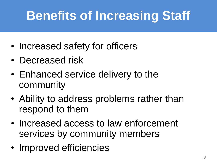## **Benefits of Increasing Staff**

- Increased safety for officers
- Decreased risk
- Enhanced service delivery to the community
- Ability to address problems rather than respond to them
- Increased access to law enforcement services by community members
- Improved efficiencies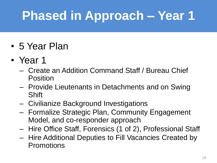# **Phased in Approach – Year 1**

- 5 Year Plan
- Year 1
	- Create an Addition Command Staff / Bureau Chief Position
	- Provide Lieutenants in Detachments and on Swing Shift
	- Civilianize Background Investigations
	- Formalize Strategic Plan, Community Engagement Model, and co-responder approach
	- Hire Office Staff, Forensics (1 of 2), Professional Staff
	- Hire Additional Deputies to Fill Vacancies Created by **Promotions**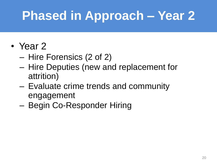## **Phased in Approach – Year 2**

#### • Year 2

- Hire Forensics (2 of 2)
- Hire Deputies (new and replacement for attrition)
- Evaluate crime trends and community engagement
- Begin Co-Responder Hiring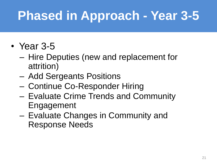## **Phased in Approach - Year 3-5**

- Year 3-5
	- Hire Deputies (new and replacement for attrition)
	- Add Sergeants Positions
	- Continue Co-Responder Hiring
	- Evaluate Crime Trends and Community Engagement
	- Evaluate Changes in Community and Response Needs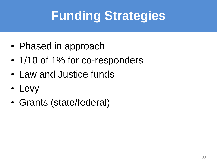# **Funding Strategies**

- Phased in approach
- 1/10 of 1% for co-responders
- Law and Justice funds
- Levy
- Grants (state/federal)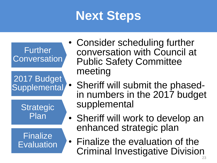## **Next Steps**



- Consider scheduling further conversation with Council at Public Safety Committee meeting
	- Sheriff will submit the phasedin numbers in the 2017 budget supplemental
- Sheriff will work to develop an enhanced strategic plan
- Finalize the evaluation of the Criminal Investigative Division